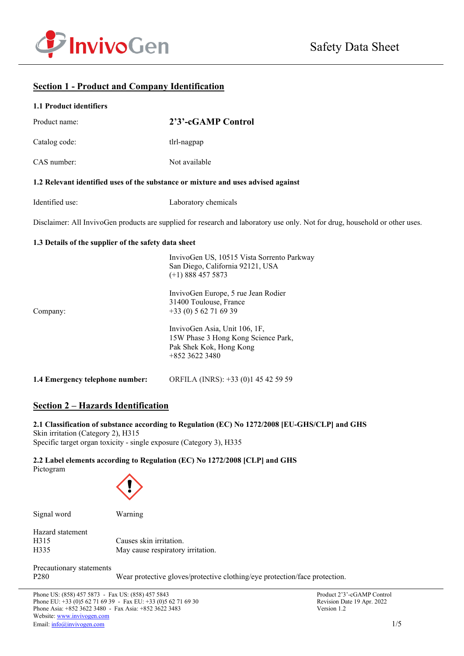

## **Section 1 - Product and Company Identification**

| 1.1 Product identifiers |  |
|-------------------------|--|
|-------------------------|--|

| Catalog code:<br>tlrl-nagpap<br>Not available<br>CAS number:<br>1.2 Relevant identified uses of the substance or mixture and uses advised against<br>Identified use:<br>Laboratory chemicals<br>Disclaimer: All InvivoGen products are supplied for research and laboratory use only. Not for drug, household or other uses.<br>1.3 Details of the supplier of the safety data sheet<br>InvivoGen US, 10515 Vista Sorrento Parkway<br>San Diego, California 92121, USA<br>$(+1)$ 888 457 5873<br>InvivoGen Europe, 5 rue Jean Rodier<br>31400 Toulouse, France<br>$+33(0) 562716939$<br>Company:<br>InvivoGen Asia, Unit 106, 1F,<br>15W Phase 3 Hong Kong Science Park,<br>Pak Shek Kok, Hong Kong<br>$+852$ 3622 3480 | Product name: | 2'3'-cGAMP Control |  |  |
|-------------------------------------------------------------------------------------------------------------------------------------------------------------------------------------------------------------------------------------------------------------------------------------------------------------------------------------------------------------------------------------------------------------------------------------------------------------------------------------------------------------------------------------------------------------------------------------------------------------------------------------------------------------------------------------------------------------------------|---------------|--------------------|--|--|
|                                                                                                                                                                                                                                                                                                                                                                                                                                                                                                                                                                                                                                                                                                                         |               |                    |  |  |
|                                                                                                                                                                                                                                                                                                                                                                                                                                                                                                                                                                                                                                                                                                                         |               |                    |  |  |
|                                                                                                                                                                                                                                                                                                                                                                                                                                                                                                                                                                                                                                                                                                                         |               |                    |  |  |
|                                                                                                                                                                                                                                                                                                                                                                                                                                                                                                                                                                                                                                                                                                                         |               |                    |  |  |
|                                                                                                                                                                                                                                                                                                                                                                                                                                                                                                                                                                                                                                                                                                                         |               |                    |  |  |
|                                                                                                                                                                                                                                                                                                                                                                                                                                                                                                                                                                                                                                                                                                                         |               |                    |  |  |
|                                                                                                                                                                                                                                                                                                                                                                                                                                                                                                                                                                                                                                                                                                                         |               |                    |  |  |

**1.4 Emergency telephone number:** ORFILA (INRS): +33 (0)1 45 42 59 59

## **Section 2 – Hazards Identification**

**2.1 Classification of substance according to Regulation (EC) No 1272/2008 [EU-GHS/CLP] and GHS** Skin irritation (Category 2), H315

Specific target organ toxicity - single exposure (Category 3), H335

### **2.2 Label elements according to Regulation (EC) No 1272/2008 [CLP] and GHS**

Pictogram



Signal word Warning

Hazard statement<br>H315 H315 Causes skin irritation.<br>
H335 May cause respiratory May cause respiratory irritation.

Precautionary statements

P280 Wear protective gloves/protective clothing/eye protection/face protection.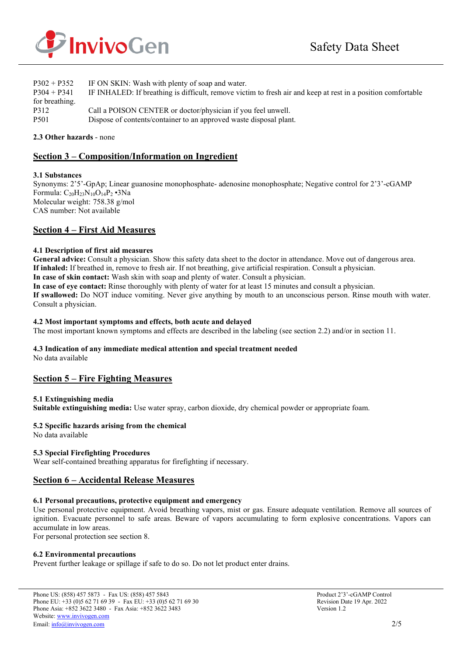

| $P302 + P352$<br>$P304 + P341$ | IF ON SKIN: Wash with plenty of soap and water.<br>IF INHALED: If breathing is difficult, remove victim to fresh air and keep at rest in a position comfortable |
|--------------------------------|-----------------------------------------------------------------------------------------------------------------------------------------------------------------|
| for breathing.<br>P312         | Call a POISON CENTER or doctor/physician if you feel unwell.                                                                                                    |
| P501                           | Dispose of contents/container to an approved waste disposal plant.                                                                                              |

### **2.3 Other hazards** - none

# **Section 3 – Composition/Information on Ingredient**

### **3.1 Substances**

Synonyms: 2'5'-GpAp; Linear guanosine monophosphate- adenosine monophosphate; Negative control for 2'3'-cGAMP Formula:  $C_{20}H_{23}N_{10}O_{14}P_2$  •3Na Molecular weight: 758.38 g/mol CAS number: Not available

### **Section 4 – First Aid Measures**

### **4.1 Description of first aid measures**

**General advice:** Consult a physician. Show this safety data sheet to the doctor in attendance. Move out of dangerous area. **If inhaled:** If breathed in, remove to fresh air. If not breathing, give artificial respiration. Consult a physician. **In case of skin contact:** Wash skin with soap and plenty of water. Consult a physician. **In case of eye contact:** Rinse thoroughly with plenty of water for at least 15 minutes and consult a physician. **If swallowed:** Do NOT induce vomiting. Never give anything by mouth to an unconscious person. Rinse mouth with water. Consult a physician.

### **4.2 Most important symptoms and effects, both acute and delayed**

The most important known symptoms and effects are described in the labeling (see section 2.2) and/or in section 11.

## **4.3 Indication of any immediate medical attention and special treatment needed**

No data available

## **Section 5 – Fire Fighting Measures**

### **5.1 Extinguishing media**

**Suitable extinguishing media:** Use water spray, carbon dioxide, dry chemical powder or appropriate foam.

### **5.2 Specific hazards arising from the chemical**

No data available

### **5.3 Special Firefighting Procedures**

Wear self-contained breathing apparatus for firefighting if necessary.

### **Section 6 – Accidental Release Measures**

### **6.1 Personal precautions, protective equipment and emergency**

Use personal protective equipment. Avoid breathing vapors, mist or gas. Ensure adequate ventilation. Remove all sources of ignition. Evacuate personnel to safe areas. Beware of vapors accumulating to form explosive concentrations. Vapors can accumulate in low areas.

For personal protection see section 8.

### **6.2 Environmental precautions**

Prevent further leakage or spillage if safe to do so. Do not let product enter drains.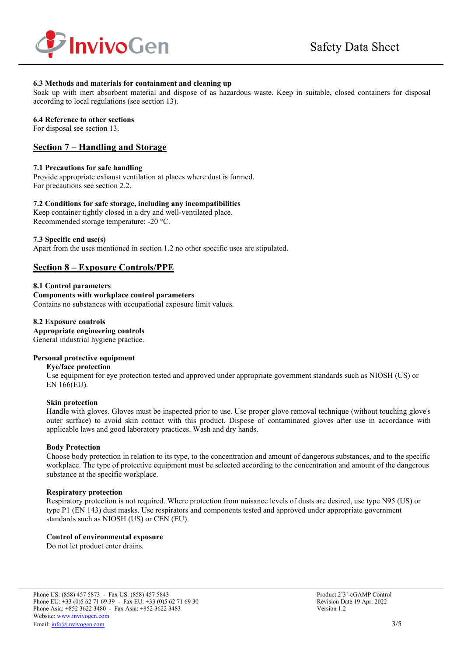

### **6.3 Methods and materials for containment and cleaning up**

Soak up with inert absorbent material and dispose of as hazardous waste. Keep in suitable, closed containers for disposal according to local regulations (see section 13).

#### **6.4 Reference to other sections**

For disposal see section 13.

## **Section 7 – Handling and Storage**

### **7.1 Precautions for safe handling**

Provide appropriate exhaust ventilation at places where dust is formed. For precautions see section 2.2.

### **7.2 Conditions for safe storage, including any incompatibilities**

Keep container tightly closed in a dry and well-ventilated place. Recommended storage temperature: -20 °C.

### **7.3 Specific end use(s)**

Apart from the uses mentioned in section 1.2 no other specific uses are stipulated.

## **Section 8 – Exposure Controls/PPE**

**8.1 Control parameters Components with workplace control parameters**  Contains no substances with occupational exposure limit values.

**8.2 Exposure controls Appropriate engineering controls** General industrial hygiene practice.

### **Personal protective equipment**

#### **Eye/face protection**

Use equipment for eye protection tested and approved under appropriate government standards such as NIOSH (US) or EN 166(EU).

### **Skin protection**

Handle with gloves. Gloves must be inspected prior to use. Use proper glove removal technique (without touching glove's outer surface) to avoid skin contact with this product. Dispose of contaminated gloves after use in accordance with applicable laws and good laboratory practices. Wash and dry hands.

### **Body Protection**

Choose body protection in relation to its type, to the concentration and amount of dangerous substances, and to the specific workplace. The type of protective equipment must be selected according to the concentration and amount of the dangerous substance at the specific workplace.

### **Respiratory protection**

Respiratory protection is not required. Where protection from nuisance levels of dusts are desired, use type N95 (US) or type P1 (EN 143) dust masks. Use respirators and components tested and approved under appropriate government standards such as NIOSH (US) or CEN (EU).

### **Control of environmental exposure**

Do not let product enter drains.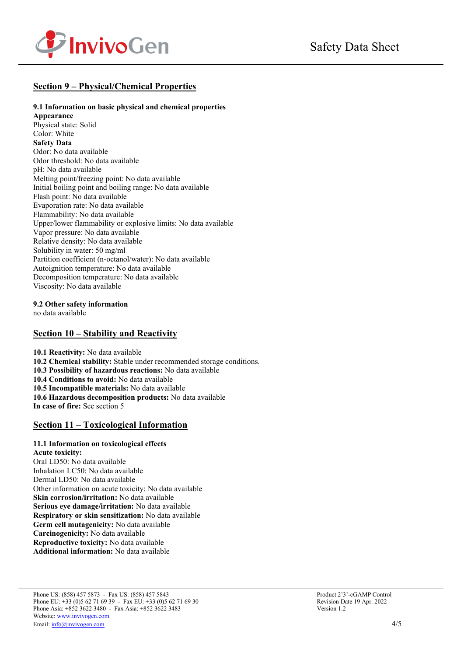

# **Section 9 – Physical/Chemical Properties**

### **9.1 Information on basic physical and chemical properties**

**Appearance** Physical state: Solid Color: White **Safety Data** Odor: No data available Odor threshold: No data available pH: No data available Melting point/freezing point: No data available Initial boiling point and boiling range: No data available Flash point: No data available Evaporation rate: No data available Flammability: No data available Upper/lower flammability or explosive limits: No data available Vapor pressure: No data available Relative density: No data available Solubility in water: 50 mg/ml Partition coefficient (n-octanol/water): No data available Autoignition temperature: No data available Decomposition temperature: No data available Viscosity: No data available

**9.2 Other safety information** 

no data available

## **Section 10 – Stability and Reactivity**

**10.1 Reactivity:** No data available **10.2 Chemical stability:** Stable under recommended storage conditions. **10.3 Possibility of hazardous reactions:** No data available **10.4 Conditions to avoid:** No data available **10.5 Incompatible materials:** No data available **10.6 Hazardous decomposition products:** No data available **In case of fire:** See section 5

## **Section 11 – Toxicological Information**

#### **11.1 Information on toxicological effects Acute toxicity:**

Oral LD50: No data available Inhalation LC50: No data available Dermal LD50: No data available Other information on acute toxicity: No data available **Skin corrosion/irritation:** No data available **Serious eye damage/irritation:** No data available **Respiratory or skin sensitization:** No data available **Germ cell mutagenicity:** No data available **Carcinogenicity:** No data available **Reproductive toxicity:** No data available **Additional information:** No data available